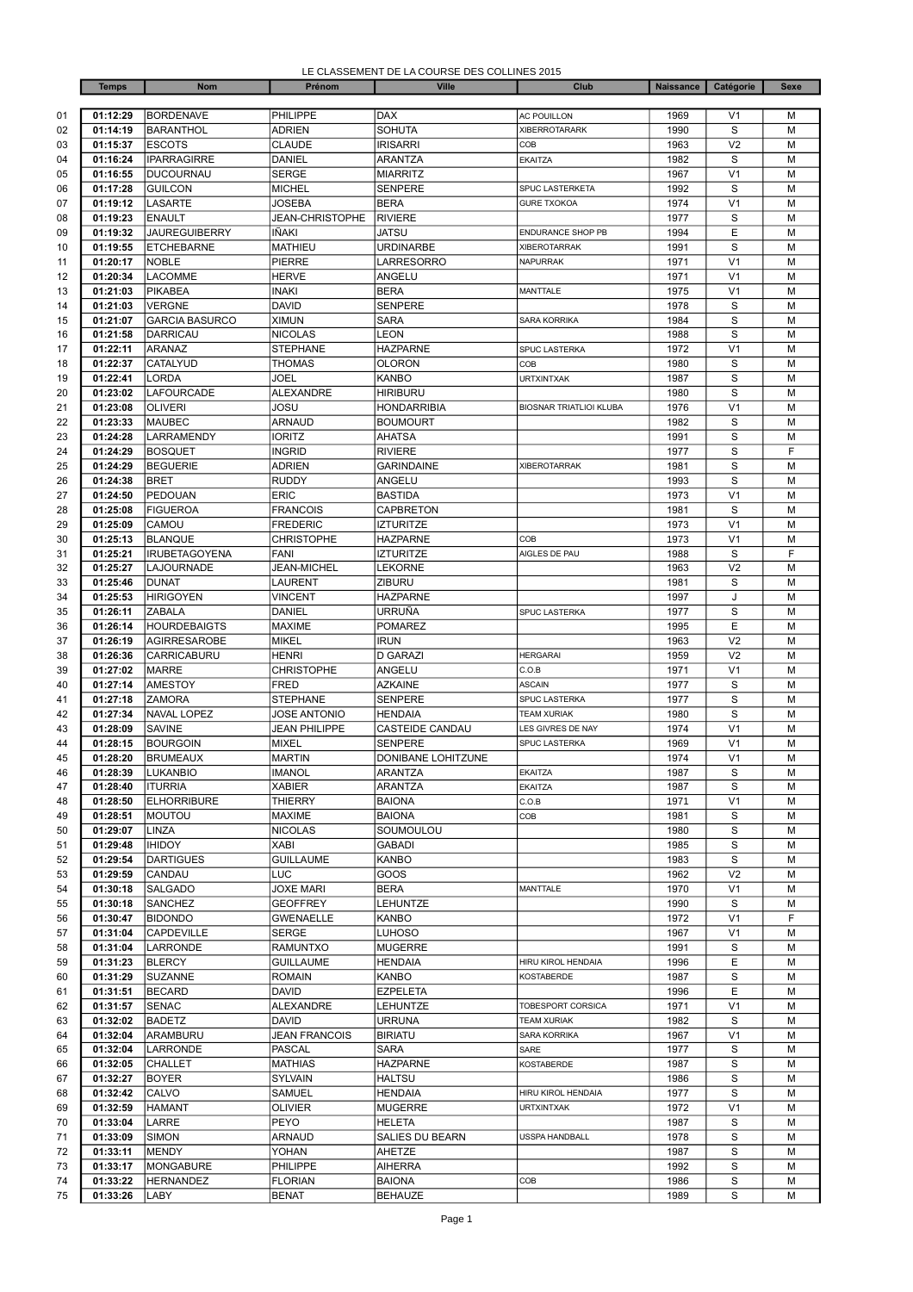| LE CLASSEMENT DE LA COURSE DES COLLINES 2015 |
|----------------------------------------------|
|----------------------------------------------|

|          | <b>Temps</b>         | <b>Nom</b>                          | Prénom                                 | <b>Ville</b>                         | Club                                | <b>Naissance</b> | Catégorie                        | <b>Sexe</b> |
|----------|----------------------|-------------------------------------|----------------------------------------|--------------------------------------|-------------------------------------|------------------|----------------------------------|-------------|
|          |                      |                                     |                                        |                                      |                                     |                  |                                  |             |
| 01       | 01:12:29             | <b>BORDENAVE</b>                    | PHILIPPE                               | <b>DAX</b><br><b>SOHUTA</b>          | <b>AC POUILLON</b>                  | 1969             | V <sub>1</sub><br>S              | M<br>M      |
| 02       | 01:14:19<br>01:15:37 | <b>BARANTHOL</b><br><b>ESCOTS</b>   | <b>ADRIEN</b><br><b>CLAUDE</b>         | <b>IRISARRI</b>                      | <b>XIBERROTARARK</b><br>COB         | 1990<br>1963     | V <sub>2</sub>                   | M           |
| 03<br>04 | 01:16:24             | <b>IPARRAGIRRE</b>                  | <b>DANIEL</b>                          | <b>ARANTZA</b>                       | <b>EKAITZA</b>                      | 1982             | S                                | M           |
| 05       | 01:16:55             | <b>DUCOURNAU</b>                    | <b>SERGE</b>                           | <b>MIARRITZ</b>                      |                                     | 1967             | V <sub>1</sub>                   | M           |
| 06       | 01:17:28             | <b>GUILCON</b>                      | <b>MICHEL</b>                          | <b>SENPERE</b>                       | SPUC LASTERKETA                     | 1992             | S                                | M           |
| 07       | 01:19:12             | LASARTE                             | JOSEBA                                 | <b>BERA</b>                          | <b>GURE TXOKOA</b>                  | 1974             | V <sub>1</sub>                   | M           |
| 08       | 01:19:23             | <b>ENAULT</b>                       | <b>JEAN-CHRISTOPHE</b>                 | <b>RIVIERE</b>                       |                                     | 1977             | S                                | M           |
| 09       | 01:19:32             | <b>JAUREGUIBERRY</b>                | IÑAKI                                  | <b>JATSU</b>                         | <b>ENDURANCE SHOP PB</b>            | 1994             | E                                | M           |
| 10       | 01:19:55             | <b>ETCHEBARNE</b>                   | <b>MATHIEU</b>                         | <b>URDINARBE</b>                     | <b>XIBEROTARRAK</b>                 | 1991             | S                                | M           |
| 11       | 01:20:17             | <b>NOBLE</b>                        | <b>PIERRE</b>                          | LARRESORRO                           | <b>NAPURRAK</b>                     | 1971             | V <sub>1</sub>                   | M           |
| 12       | 01:20:34             | LACOMME                             | <b>HERVE</b>                           | ANGELU                               |                                     | 1971             | V <sub>1</sub>                   | M           |
| 13       | 01:21:03             | <b>PIKABEA</b>                      | <b>INAKI</b>                           | <b>BERA</b>                          | <b>MANTTALE</b>                     | 1975             | V <sub>1</sub>                   | M           |
| 14       | 01:21:03<br>01:21:07 | <b>VERGNE</b>                       | <b>DAVID</b>                           | <b>SENPERE</b><br><b>SARA</b>        |                                     | 1978<br>1984     | S<br>S                           | M<br>M      |
| 15<br>16 | 01:21:58             | <b>GARCIA BASURCO</b><br>DARRICAU   | <b>XIMUN</b><br><b>NICOLAS</b>         | LEON                                 | <b>SARA KORRIKA</b>                 | 1988             | S                                | M           |
| 17       | 01:22:11             | ARANAZ                              | <b>STEPHANE</b>                        | <b>HAZPARNE</b>                      | SPUC LASTERKA                       | 1972             | V <sub>1</sub>                   | M           |
| 18       | 01:22:37             | CATALYUD                            | <b>THOMAS</b>                          | <b>OLORON</b>                        | COB                                 | 1980             | S                                | M           |
| 19       | 01:22:41             | LORDA                               | JOEL                                   | <b>KANBO</b>                         | <b>URTXINTXAK</b>                   | 1987             | $\mathbf S$                      | M           |
| 20       | 01:23:02             | LAFOURCADE                          | <b>ALEXANDRE</b>                       | <b>HIRIBURU</b>                      |                                     | 1980             | S                                | M           |
| 21       | 01:23:08             | <b>OLIVERI</b>                      | JOSU                                   | <b>HONDARRIBIA</b>                   | <b>BIOSNAR TRIATLIOI KLUBA</b>      | 1976             | V <sub>1</sub>                   | M           |
| 22       | 01:23:33             | <b>MAUBEC</b>                       | <b>ARNAUD</b>                          | <b>BOUMOURT</b>                      |                                     | 1982             | S                                | M           |
| 23       | 01:24:28             | LARRAMENDY                          | <b>IORITZ</b>                          | <b>AHATSA</b>                        |                                     | 1991             | S                                | M           |
| 24       | 01:24:29             | <b>BOSQUET</b>                      | <b>INGRID</b>                          | <b>RIVIERE</b>                       |                                     | 1977             | S                                | F           |
| 25       | 01:24:29             | <b>BEGUERIE</b>                     | <b>ADRIEN</b>                          | <b>GARINDAINE</b>                    | <b>XIBEROTARRAK</b>                 | 1981             | S                                | M           |
| 26       | 01:24:38             | <b>BRET</b>                         | <b>RUDDY</b>                           | ANGELU                               |                                     | 1993             | S                                | M           |
| 27       | 01:24:50             | PEDOUAN                             | <b>ERIC</b>                            | <b>BASTIDA</b>                       |                                     | 1973             | V <sub>1</sub>                   | M           |
| 28<br>29 | 01:25:08<br>01:25:09 | <b>FIGUEROA</b><br>CAMOU            | <b>FRANCOIS</b><br><b>FREDERIC</b>     | <b>CAPBRETON</b><br><b>IZTURITZE</b> |                                     | 1981<br>1973     | S<br>V <sub>1</sub>              | M<br>M      |
| 30       | 01:25:13             | <b>BLANQUE</b>                      | <b>CHRISTOPHE</b>                      | <b>HAZPARNE</b>                      | COB                                 | 1973             | V <sub>1</sub>                   | M           |
| 31       | 01:25:21             | <b>IRUBETAGOYENA</b>                | <b>FANI</b>                            | <b>IZTURITZE</b>                     | AIGLES DE PAU                       | 1988             | S                                | F           |
| 32       | 01:25:27             | LAJOURNADE                          | <b>JEAN-MICHEL</b>                     | <b>LEKORNE</b>                       |                                     | 1963             | V <sub>2</sub>                   | M           |
| 33       | 01:25:46             | <b>DUNAT</b>                        | <b>LAURENT</b>                         | ZIBURU                               |                                     | 1981             | S                                | M           |
| 34       | 01:25:53             | <b>HIRIGOYEN</b>                    | <b>VINCENT</b>                         | <b>HAZPARNE</b>                      |                                     | 1997             | J                                | M           |
| 35       | 01:26:11             | <b>ZABALA</b>                       | DANIEL                                 | URRUÑA                               | SPUC LASTERKA                       | 1977             | S                                | M           |
| 36       | 01:26:14             | <b>HOURDEBAIGTS</b>                 | <b>MAXIME</b>                          | <b>POMAREZ</b>                       |                                     | 1995             | Ε                                | M           |
| 37       | 01:26:19             | <b>AGIRRESAROBE</b>                 | <b>MIKEL</b>                           | <b>IRUN</b>                          |                                     | 1963             | V <sub>2</sub>                   | M           |
| 38       | 01:26:36             | CARRICABURU                         | <b>HENRI</b>                           | <b>D GARAZI</b>                      | <b>HERGARAI</b>                     | 1959             | V <sub>2</sub>                   | M           |
| 39       | 01:27:02             | <b>MARRE</b>                        | <b>CHRISTOPHE</b>                      | ANGELU                               | C.O.B                               | 1971             | V <sub>1</sub>                   | M           |
| 40       | 01:27:14             | <b>AMESTOY</b>                      | <b>FRED</b>                            | <b>AZKAINE</b>                       | <b>ASCAIN</b>                       | 1977             | S                                | M           |
| 41<br>42 | 01:27:18<br>01:27:34 | <b>ZAMORA</b><br><b>NAVAL LOPEZ</b> | <b>STEPHANE</b><br><b>JOSE ANTONIO</b> | <b>SENPERE</b><br><b>HENDAIA</b>     | SPUC LASTERKA<br><b>TEAM XURIAK</b> | 1977<br>1980     | S<br>$\mathbf S$                 | M<br>M      |
| 43       | 01:28:09             | <b>SAVINE</b>                       | <b>JEAN PHILIPPE</b>                   | CASTEIDE CANDAU                      | LES GIVRES DE NAY                   | 1974             | V <sub>1</sub>                   | M           |
| 44       | 01:28:15             | <b>BOURGOIN</b>                     | <b>MIXEL</b>                           | <b>SENPERE</b>                       | SPUC LASTERKA                       | 1969             | V <sub>1</sub>                   | M           |
| 45       | 01:28:20             | <b>BRUMEAUX</b>                     | <b>MARTIN</b>                          | DONIBANE LOHITZUNE                   |                                     | 1974             | V <sub>1</sub>                   | M           |
| 46       | 01:28:39             | LUKANBIO                            | <b>IMANOL</b>                          | <b>ARANTZA</b>                       | <b>EKAITZA</b>                      | 1987             | S                                | M           |
| 47       | 01:28:40             | <b>ITURRIA</b>                      | <b>XABIER</b>                          | <b>ARANTZA</b>                       | <b>EKAITZA</b>                      | 1987             | S                                | M           |
| 48       | 01:28:50             | <b>ELHORRIBURE</b>                  | <b>THIERRY</b>                         | <b>BAIONA</b>                        | C.O.B                               | 1971             | V <sub>1</sub>                   | М           |
| 49       | 01:28:51             | <b>MOUTOU</b>                       | <b>MAXIME</b>                          | <b>BAIONA</b>                        | COB                                 | 1981             | S                                | M           |
| 50       | 01:29:07             | <b>LINZA</b>                        | <b>NICOLAS</b>                         | SOUMOULOU                            |                                     | 1980             | S                                | М           |
| 51       | 01:29:48             | <b>IHIDOY</b>                       | XABI                                   | GABADI                               |                                     | 1985             | S                                | M           |
| 52       | 01:29:54             | <b>DARTIGUES</b>                    | <b>GUILLAUME</b>                       | <b>KANBO</b>                         |                                     | 1983             | S                                | M           |
| 53<br>54 | 01:29:59<br>01:30:18 | CANDAU<br>SALGADO                   | LUC<br><b>JOXE MARI</b>                | GOOS<br><b>BERA</b>                  | <b>MANTTALE</b>                     | 1962<br>1970     | V <sub>2</sub><br>V <sub>1</sub> | M<br>М      |
| 55       | 01:30:18             | SANCHEZ                             | <b>GEOFFREY</b>                        | LEHUNTZE                             |                                     | 1990             | S                                | М           |
| 56       | 01:30:47             | <b>BIDONDO</b>                      | <b>GWENAELLE</b>                       | KANBO                                |                                     | 1972             | V <sub>1</sub>                   | F           |
| 57       | 01:31:04             | CAPDEVILLE                          | <b>SERGE</b>                           | <b>LUHOSO</b>                        |                                     | 1967             | V <sub>1</sub>                   | М           |
| 58       | 01:31:04             | <b>LARRONDE</b>                     | <b>RAMUNTXO</b>                        | <b>MUGERRE</b>                       |                                     | 1991             | S                                | M           |
| 59       | 01:31:23             | <b>BLERCY</b>                       | <b>GUILLAUME</b>                       | <b>HENDAIA</b>                       | <b>HIRU KIROL HENDAIA</b>           | 1996             | E                                | M           |
| 60       | 01:31:29             | <b>SUZANNE</b>                      | <b>ROMAIN</b>                          | KANBO                                | KOSTABERDE                          | 1987             | S                                | M           |
| 61       | 01:31:51             | <b>BECARD</b>                       | <b>DAVID</b>                           | <b>EZPELETA</b>                      |                                     | 1996             | Е                                | M           |
| 62       | 01:31:57             | <b>SENAC</b>                        | <b>ALEXANDRE</b>                       | LEHUNTZE                             | TOBESPORT CORSICA                   | 1971             | V <sub>1</sub>                   | M           |
| 63       | 01:32:02             | <b>BADETZ</b>                       | DAVID                                  | URRUNA                               | <b>TEAM XURIAK</b>                  | 1982             | S                                | М           |
| 64       | 01:32:04             | ARAMBURU                            | <b>JEAN FRANCOIS</b>                   | <b>BIRIATU</b>                       | SARA KORRIKA                        | 1967             | V <sub>1</sub>                   | М           |
| 65       | 01:32:04             | LARRONDE                            | <b>PASCAL</b>                          | SARA                                 | SARE<br><b>KOSTABERDE</b>           | 1977             | S                                | M           |
| 66<br>67 | 01:32:05<br>01:32:27 | CHALLET<br><b>BOYER</b>             | <b>MATHIAS</b><br>SYLVAIN              | <b>HAZPARNE</b><br><b>HALTSU</b>     |                                     | 1987<br>1986     | S<br>S                           | M<br>M      |
| 68       | 01:32:42             | CALVO                               | SAMUEL                                 | <b>HENDAIA</b>                       | HIRU KIROL HENDAIA                  | 1977             | S                                | М           |
| 69       | 01:32:59             | <b>HAMANT</b>                       | <b>OLIVIER</b>                         | <b>MUGERRE</b>                       | <b>URTXINTXAK</b>                   | 1972             | V <sub>1</sub>                   | М           |
| 70       | 01:33:04             | <b>LARRE</b>                        | PEYO                                   | <b>HELETA</b>                        |                                     | 1987             | S                                | М           |
| 71       | 01:33:09             | <b>SIMON</b>                        | <b>ARNAUD</b>                          | SALIES DU BEARN                      | USSPA HANDBALL                      | 1978             | S                                | M           |
| 72       | 01:33:11             | <b>MENDY</b>                        | YOHAN                                  | AHETZE                               |                                     | 1987             | S                                | М           |
| 73       | 01:33:17             | <b>MONGABURE</b>                    | PHILIPPE                               | <b>AIHERRA</b>                       |                                     | 1992             | S                                | М           |
| 74       | 01:33:22             | <b>HERNANDEZ</b>                    | <b>FLORIAN</b>                         | <b>BAIONA</b>                        | COB                                 | 1986             | S                                | М           |
| 75       | 01:33:26             | <b>LABY</b>                         | <b>BENAT</b>                           | <b>BEHAUZE</b>                       |                                     | 1989             | S                                | M           |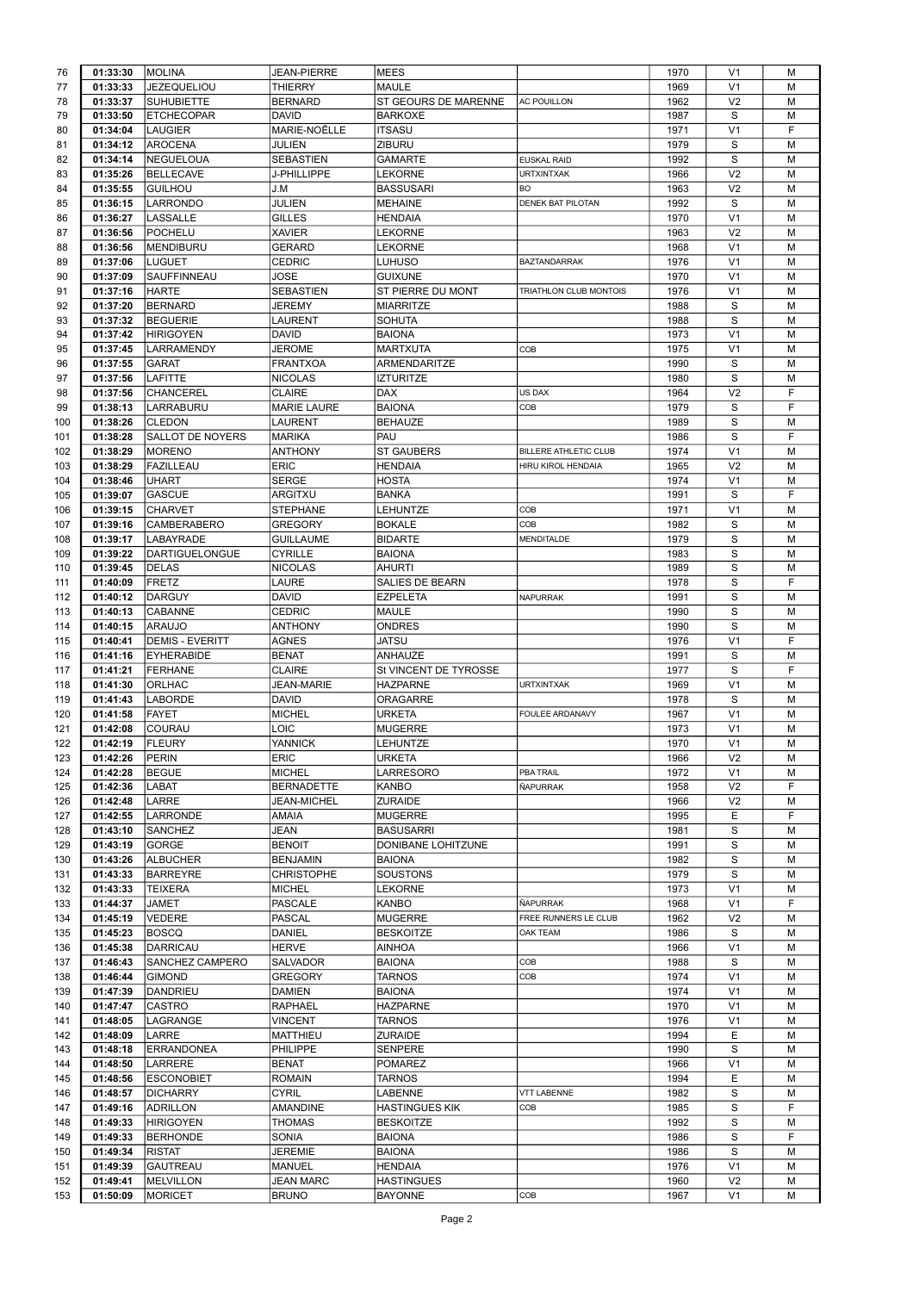| 76                                     | 01:33:30 | <b>MOLINA</b>           | <b>JEAN-PIERRE</b> | <b>MEES</b>           |                          | 1970 | V <sub>1</sub> | M |
|----------------------------------------|----------|-------------------------|--------------------|-----------------------|--------------------------|------|----------------|---|
| 77                                     | 01:33:33 | <b>JEZEQUELIOU</b>      | <b>THIERRY</b>     | MAULE                 |                          | 1969 | V <sub>1</sub> | M |
| 78                                     | 01:33:37 | <b>SUHUBIETTE</b>       | <b>BERNARD</b>     | ST GEOURS DE MARENNE  | <b>AC POUILLON</b>       | 1962 | V <sub>2</sub> | M |
|                                        | 01:33:50 |                         |                    |                       |                          |      |                |   |
| 79                                     |          | <b>ETCHECOPAR</b>       | <b>DAVID</b>       | <b>BARKOXE</b>        |                          | 1987 | S              | M |
| 80                                     | 01:34:04 | <b>LAUGIER</b>          | MARIE-NOËLLE       | <b>ITSASU</b>         |                          | 1971 | V <sub>1</sub> | F |
| 81                                     | 01:34:12 | AROCENA                 | JULIEN             | ZIBURU                |                          | 1979 | S              | M |
| 82                                     | 01:34:14 | <b>NEGUELOUA</b>        | <b>SEBASTIEN</b>   | <b>GAMARTE</b>        | <b>EUSKAL RAID</b>       | 1992 | S              | M |
|                                        |          |                         |                    |                       |                          |      |                |   |
| 83                                     | 01:35:26 | <b>BELLECAVE</b>        | J-PHILLIPPE        | <b>LEKORNE</b>        | <b>URTXINTXAK</b>        | 1966 | V <sub>2</sub> | M |
| 84                                     | 01:35:55 | <b>GUILHOU</b>          | J.M                | <b>BASSUSARI</b>      | BO                       | 1963 | V <sub>2</sub> | M |
| 85                                     | 01:36:15 | <b>LARRONDO</b>         | JULIEN             | <b>MEHAINE</b>        | <b>DENEK BAT PILOTAN</b> | 1992 | S              | M |
|                                        |          | <b>LASSALLE</b>         | <b>GILLES</b>      |                       |                          | 1970 | V <sub>1</sub> | M |
| 86                                     | 01:36:27 |                         |                    | <b>HENDAIA</b>        |                          |      |                |   |
| 87                                     | 01:36:56 | POCHELU                 | <b>XAVIER</b>      | <b>LEKORNE</b>        |                          | 1963 | V <sub>2</sub> | M |
| 88                                     | 01:36:56 | MENDIBURU               | <b>GERARD</b>      | <b>LEKORNE</b>        |                          | 1968 | V <sub>1</sub> | M |
| 89                                     | 01:37:06 | LUGUET                  | <b>CEDRIC</b>      | LUHUSO                | <b>BAZTANDARRAK</b>      | 1976 | V <sub>1</sub> | M |
|                                        |          |                         |                    |                       |                          |      |                |   |
| 90                                     | 01:37:09 | <b>SAUFFINNEAU</b>      | JOSE               | <b>GUIXUNE</b>        |                          | 1970 | V <sub>1</sub> | M |
| 91                                     | 01:37:16 | <b>HARTE</b>            | SEBASTIEN          | ST PIERRE DU MONT     | TRIATHLON CLUB MONTOIS   | 1976 | V <sub>1</sub> | M |
| 92                                     | 01:37:20 | <b>BERNARD</b>          | JEREMY             | <b>MIARRITZE</b>      |                          | 1988 | S              | M |
| 93                                     | 01:37:32 |                         |                    |                       |                          | 1988 | S              |   |
|                                        |          | <b>BEGUERIE</b>         | <b>LAURENT</b>     | <b>SOHUTA</b>         |                          |      |                | M |
| 94                                     | 01:37:42 | Hirigoyen               | <b>DAVID</b>       | <b>BAIONA</b>         |                          | 1973 | V <sub>1</sub> | M |
| 95                                     | 01:37:45 | <b>LARRAMENDY</b>       | JEROME             | <b>MARTXUTA</b>       | COB                      | 1975 | V <sub>1</sub> | M |
| 96                                     | 01:37:55 | <b>GARAT</b>            | <b>FRANTXOA</b>    | ARMENDARITZE          |                          | 1990 | S              | M |
|                                        |          |                         |                    |                       |                          |      |                |   |
| 97                                     | 01:37:56 | <b>LAFITTE</b>          | <b>NICOLAS</b>     | <b>IZTURITZE</b>      |                          | 1980 | S              | M |
| 98                                     | 01:37:56 | <b>CHANCEREL</b>        | <b>CLAIRE</b>      | <b>DAX</b>            | US DAX                   | 1964 | V <sub>2</sub> | F |
| 99                                     | 01:38:13 | LARRABURU               | <b>MARIE LAURE</b> | <b>BAIONA</b>         | COB                      | 1979 | S              | F |
| 100                                    | 01:38:26 | <b>CLEDON</b>           | LAURENT            | <b>BEHAUZE</b>        |                          | 1989 | S              | M |
|                                        |          |                         |                    |                       |                          |      |                |   |
| 101                                    | 01:38:28 | <b>SALLOT DE NOYERS</b> | <b>MARIKA</b>      | PAU                   |                          | 1986 | S              | F |
| 102                                    | 01:38:29 | MORENO                  | <b>ANTHONY</b>     | <b>ST GAUBERS</b>     | BILLERE ATHLETIC CLUB    | 1974 | V <sub>1</sub> | M |
| 103                                    | 01:38:29 | <b>FAZILLEAU</b>        | <b>ERIC</b>        | <b>HENDAIA</b>        | HIRU KIROL HENDAIA       | 1965 | V <sub>2</sub> | M |
|                                        |          |                         |                    |                       |                          |      |                |   |
| 104                                    | 01:38:46 | <b>UHART</b>            | <b>SERGE</b>       | <b>HOSTA</b>          |                          | 1974 | V <sub>1</sub> | M |
| 105                                    | 01:39:07 | <b>GASCUE</b>           | ARGITXU            | <b>BANKA</b>          |                          | 1991 | S              | F |
| 106                                    | 01:39:15 | <b>CHARVET</b>          | <b>STEPHANE</b>    | <b>LEHUNTZE</b>       | COB                      | 1971 | V <sub>1</sub> | M |
|                                        |          |                         |                    |                       |                          |      |                | M |
| 107                                    | 01:39:16 | <b>CAMBERABERO</b>      | <b>GREGORY</b>     | <b>BOKALE</b>         | COB                      | 1982 | S              |   |
| 108                                    | 01:39:17 | LABAYRADE               | <b>GUILLAUME</b>   | <b>BIDARTE</b>        | MENDITALDE               | 1979 | S              | M |
| 109                                    | 01:39:22 | <b>DARTIGUELONGUE</b>   | <b>CYRILLE</b>     | <b>BAIONA</b>         |                          | 1983 | S              | M |
|                                        | 01:39:45 | DELAS                   | <b>NICOLAS</b>     | <b>AHURTI</b>         |                          | 1989 | S              | M |
| 110                                    |          |                         |                    |                       |                          |      |                |   |
| 111                                    | 01:40:09 | <b>FRETZ</b>            | LAURE              | SALIES DE BEARN       |                          | 1978 | S              | F |
| 112                                    | 01:40:12 | <b>DARGUY</b>           | <b>DAVID</b>       | <b>EZPELETA</b>       | <b>NAPURRAK</b>          | 1991 | S              | M |
| 113                                    | 01:40:13 | <b>CABANNE</b>          | <b>CEDRIC</b>      | MAULE                 |                          | 1990 | S              | M |
|                                        |          |                         |                    |                       |                          |      |                |   |
| 114                                    | 01:40:15 | ARAUJO                  | <b>ANTHONY</b>     | <b>ONDRES</b>         |                          | 1990 | S              | M |
| 115                                    | 01:40:41 | <b>DEMIS - EVERITT</b>  | <b>AGNES</b>       | JATSU                 |                          | 1976 | V <sub>1</sub> | F |
| 116                                    | 01:41:16 | <b>EYHERABIDE</b>       | <b>BENAT</b>       | ANHAUZE               |                          | 1991 | S              | M |
|                                        |          |                         |                    |                       |                          |      |                |   |
| 117                                    | 01:41:21 | <b>FERHANE</b>          | <b>CLAIRE</b>      | St VINCENT DE TYROSSE |                          | 1977 | S              | F |
| 118                                    | 01:41:30 | <b>ORLHAC</b>           | JEAN-MARIE         | <b>HAZPARNE</b>       | <b>URTXINTXAK</b>        | 1969 | V <sub>1</sub> | M |
| 119                                    | 01:41:43 | LABORDE                 | <b>DAVID</b>       | <b>ORAGARRE</b>       |                          | 1978 | S              | M |
|                                        |          |                         |                    |                       |                          |      |                |   |
| 120                                    | 01:41:58 | <b>FAYET</b>            | <b>MICHEL</b>      | <b>URKETA</b>         | FOULEE ARDANAVY          | 1967 | V <sub>1</sub> | M |
| 121                                    | 01:42:08 | COURAU                  | LOIC               | <b>MUGERRE</b>        |                          | 1973 | V <sub>1</sub> | M |
| 122                                    | 01:42:19 | <b>FLEURY</b>           | YANNICK            | <b>LEHUNTZE</b>       |                          | 1970 | V <sub>1</sub> | M |
| 123                                    | 01:42:26 | PERIN                   | <b>ERIC</b>        | <b>URKETA</b>         |                          | 1966 | V <sub>2</sub> | м |
|                                        |          |                         |                    |                       |                          |      |                |   |
| 124                                    | 01:42:28 | <b>BEGUE</b>            | <b>MICHEL</b>      |                       |                          |      |                |   |
| 125                                    | 01:42:36 | LABAT                   |                    | <b>LARRESORO</b>      | PBA TRAIL                | 1972 | V1             | M |
| 126                                    | 01:42:48 |                         | <b>BERNADETTE</b>  | <b>KANBO</b>          | ÑAPURRAK                 | 1958 | V <sub>2</sub> | F |
|                                        |          |                         |                    |                       |                          |      |                |   |
| 127                                    |          | LARRE                   | JEAN-MICHEL        | <b>ZURAIDE</b>        |                          | 1966 | V <sub>2</sub> | М |
|                                        | 01:42:55 | LARRONDE                | <b>AMAIA</b>       | <b>MUGERRE</b>        |                          | 1995 | Ε              | F |
|                                        | 01:43:10 | <b>SANCHEZ</b>          | JEAN               | <b>BASUSARRI</b>      |                          | 1981 | S              | M |
|                                        | 01:43:19 | GORGE                   | <b>BENOIT</b>      | DONIBANE LOHITZUNE    |                          | 1991 | S              | M |
|                                        |          |                         |                    |                       |                          |      |                |   |
|                                        | 01:43:26 | ALBUCHER                | <b>BENJAMIN</b>    | <b>BAIONA</b>         |                          | 1982 | S              | M |
|                                        | 01:43:33 | <b>BARREYRE</b>         | <b>CHRISTOPHE</b>  | <b>SOUSTONS</b>       |                          | 1979 | S              | М |
|                                        | 01:43:33 | <b>TEIXERA</b>          | <b>MICHEL</b>      | <b>LEKORNE</b>        |                          | 1973 | V <sub>1</sub> | M |
| 128<br>129<br>130<br>131<br>132<br>133 | 01:44:37 | JAMET                   | <b>PASCALE</b>     | <b>KANBO</b>          | <b>ÑAPURRAK</b>          | 1968 | V <sub>1</sub> | F |
|                                        |          |                         |                    |                       |                          |      |                |   |
| 134                                    | 01:45:19 | <b>VEDERE</b>           | <b>PASCAL</b>      | <b>MUGERRE</b>        | FREE RUNNERS LE CLUB     | 1962 | V <sub>2</sub> | M |
| 135                                    | 01:45:23 | BOSCQ                   | DANIEL             | <b>BESKOITZE</b>      | <b>OAK TEAM</b>          | 1986 | S              | М |
| 136                                    | 01:45:38 | DARRICAU                | <b>HERVE</b>       | <b>AINHOA</b>         |                          | 1966 | V <sub>1</sub> | M |
|                                        |          |                         |                    |                       |                          |      |                |   |
|                                        | 01:46:43 | SANCHEZ CAMPERO         | SALVADOR           | <b>BAIONA</b>         | COB                      | 1988 | S              | М |
| 137<br>138                             | 01:46:44 | <b>GIMOND</b>           | <b>GREGORY</b>     | <b>TARNOS</b>         | COB                      | 1974 | V <sub>1</sub> | М |
|                                        | 01:47:39 | DANDRIEU                | <b>DAMIEN</b>      | <b>BAIONA</b>         |                          | 1974 | V <sub>1</sub> | М |
| 139<br>140                             | 01:47:47 | CASTRO                  | <b>RAPHAEL</b>     | <b>HAZPARNE</b>       |                          | 1970 | V <sub>1</sub> | M |
|                                        |          |                         |                    |                       |                          |      |                |   |
|                                        | 01:48:05 | LAGRANGE                | <b>VINCENT</b>     | <b>TARNOS</b>         |                          | 1976 | V <sub>1</sub> | M |
| 142                                    | 01:48:09 | LARRE                   | <b>MATTHIEU</b>    | <b>ZURAIDE</b>        |                          | 1994 | Ε              | M |
|                                        | 01:48:18 | <b>ERRANDONEA</b>       | PHILIPPE           | <b>SENPERE</b>        |                          | 1990 | S              | M |
|                                        |          |                         |                    |                       |                          |      |                |   |
|                                        | 01:48:50 | LARRERE                 | <b>BENAT</b>       | <b>POMAREZ</b>        |                          | 1966 | V <sub>1</sub> | М |
|                                        | 01:48:56 | <b>ESCONOBIET</b>       | <b>ROMAIN</b>      | <b>TARNOS</b>         |                          | 1994 | E              | М |
| 141<br>143<br>144<br>145<br>146        | 01:48:57 | DICHARRY                | <b>CYRIL</b>       | LABENNE               | <b>VTT LABENNE</b>       | 1982 | S              | M |
|                                        |          |                         |                    |                       | COB                      |      |                |   |
|                                        | 01:49:16 | ADRILLON                | AMANDINE           | <b>HASTINGUES KIK</b> |                          | 1985 | S              | F |
| 147<br>148                             | 01:49:33 | <b>HIRIGOYEN</b>        | <b>THOMAS</b>      | <b>BESKOITZE</b>      |                          | 1992 | S              | M |
|                                        | 01:49:33 | <b>BERHONDE</b>         | SONIA              | <b>BAIONA</b>         |                          | 1986 | S              | F |
| 149                                    | 01:49:34 |                         |                    |                       |                          |      |                | М |
| 150                                    |          | <b>RISTAT</b>           | JEREMIE            | <b>BAIONA</b>         |                          | 1986 | S              |   |
| 151                                    | 01:49:39 | <b>GAUTREAU</b>         | MANUEL             | <b>HENDAIA</b>        |                          | 1976 | V <sub>1</sub> | М |
| 152                                    | 01:49:41 | <b>MELVILLON</b>        | <b>JEAN MARC</b>   | <b>HASTINGUES</b>     |                          | 1960 | V <sub>2</sub> | М |